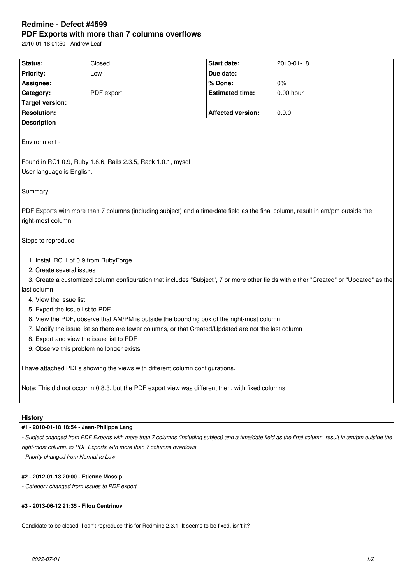# **Redmine - Defect #4599 PDF Exports with more than 7 columns overflows**

2010-01-18 01:50 - Andrew Leaf

| <b>Status:</b>                                                                                                                                                                                   | Closed                                                                       | <b>Start date:</b>                                                                                                              | 2010-01-18                                                                                                                            |  |  |  |
|--------------------------------------------------------------------------------------------------------------------------------------------------------------------------------------------------|------------------------------------------------------------------------------|---------------------------------------------------------------------------------------------------------------------------------|---------------------------------------------------------------------------------------------------------------------------------------|--|--|--|
| <b>Priority:</b>                                                                                                                                                                                 | Low                                                                          | Due date:                                                                                                                       |                                                                                                                                       |  |  |  |
| Assignee:                                                                                                                                                                                        |                                                                              | % Done:                                                                                                                         | 0%                                                                                                                                    |  |  |  |
| Category:                                                                                                                                                                                        | PDF export                                                                   | <b>Estimated time:</b>                                                                                                          | $0.00$ hour                                                                                                                           |  |  |  |
| <b>Target version:</b>                                                                                                                                                                           |                                                                              |                                                                                                                                 |                                                                                                                                       |  |  |  |
| <b>Resolution:</b>                                                                                                                                                                               |                                                                              | <b>Affected version:</b>                                                                                                        | 0.9.0                                                                                                                                 |  |  |  |
| <b>Description</b>                                                                                                                                                                               |                                                                              |                                                                                                                                 |                                                                                                                                       |  |  |  |
| Environment -                                                                                                                                                                                    |                                                                              |                                                                                                                                 |                                                                                                                                       |  |  |  |
|                                                                                                                                                                                                  | Found in RC1 0.9, Ruby 1.8.6, Rails 2.3.5, Rack 1.0.1, mysql                 |                                                                                                                                 |                                                                                                                                       |  |  |  |
| User language is English.                                                                                                                                                                        |                                                                              |                                                                                                                                 |                                                                                                                                       |  |  |  |
|                                                                                                                                                                                                  |                                                                              |                                                                                                                                 |                                                                                                                                       |  |  |  |
| Summary -                                                                                                                                                                                        |                                                                              |                                                                                                                                 |                                                                                                                                       |  |  |  |
|                                                                                                                                                                                                  |                                                                              |                                                                                                                                 |                                                                                                                                       |  |  |  |
|                                                                                                                                                                                                  |                                                                              | PDF Exports with more than 7 columns (including subject) and a time/date field as the final column, result in am/pm outside the |                                                                                                                                       |  |  |  |
| right-most column.                                                                                                                                                                               |                                                                              |                                                                                                                                 |                                                                                                                                       |  |  |  |
| Steps to reproduce -                                                                                                                                                                             |                                                                              |                                                                                                                                 |                                                                                                                                       |  |  |  |
|                                                                                                                                                                                                  |                                                                              |                                                                                                                                 |                                                                                                                                       |  |  |  |
| 1. Install RC 1 of 0.9 from RubyForge<br>2. Create several issues                                                                                                                                |                                                                              |                                                                                                                                 |                                                                                                                                       |  |  |  |
|                                                                                                                                                                                                  |                                                                              |                                                                                                                                 | 3. Create a customized column configuration that includes "Subject", 7 or more other fields with either "Created" or "Updated" as the |  |  |  |
| last column                                                                                                                                                                                      |                                                                              |                                                                                                                                 |                                                                                                                                       |  |  |  |
| 4. View the issue list                                                                                                                                                                           |                                                                              |                                                                                                                                 |                                                                                                                                       |  |  |  |
|                                                                                                                                                                                                  |                                                                              |                                                                                                                                 |                                                                                                                                       |  |  |  |
| 5. Export the issue list to PDF                                                                                                                                                                  |                                                                              |                                                                                                                                 |                                                                                                                                       |  |  |  |
| 6. View the PDF, observe that AM/PM is outside the bounding box of the right-most column<br>7. Modify the issue list so there are fewer columns, or that Created/Updated are not the last column |                                                                              |                                                                                                                                 |                                                                                                                                       |  |  |  |
|                                                                                                                                                                                                  |                                                                              |                                                                                                                                 |                                                                                                                                       |  |  |  |
| 8. Export and view the issue list to PDF<br>9. Observe this problem no longer exists                                                                                                             |                                                                              |                                                                                                                                 |                                                                                                                                       |  |  |  |
|                                                                                                                                                                                                  |                                                                              |                                                                                                                                 |                                                                                                                                       |  |  |  |
|                                                                                                                                                                                                  | I have attached PDFs showing the views with different column configurations. |                                                                                                                                 |                                                                                                                                       |  |  |  |
|                                                                                                                                                                                                  |                                                                              | Note: This did not occur in 0.8.3, but the PDF export view was different then, with fixed columns.                              |                                                                                                                                       |  |  |  |
|                                                                                                                                                                                                  |                                                                              |                                                                                                                                 |                                                                                                                                       |  |  |  |

### **History**

## **#1 - 2010-01-18 18:54 - Jean-Philippe Lang**

- Subject changed from PDF Exports with more than 7 columns (including subject) and a time/date field as the final column, result in am/pm outside the *right-most column. to PDF Exports with more than 7 columns overflows*

*- Priority changed from Normal to Low*

#### **#2 - 2012-01-13 20:00 - Etienne Massip**

*- Category changed from Issues to PDF export*

#### **#3 - 2013-06-12 21:35 - Filou Centrinov**

Candidate to be closed. I can't reproduce this for Redmine 2.3.1. It seems to be fixed, isn't it?